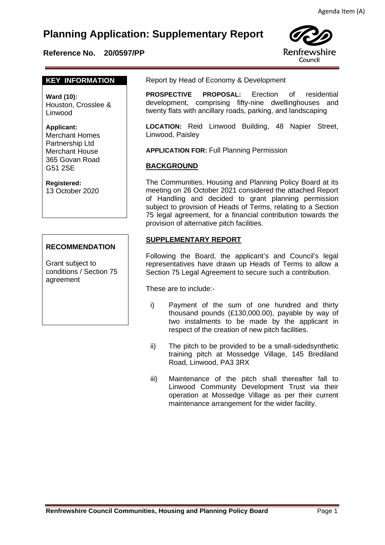# **Planning Application: Supplementary Report**

### **Reference No. 20/0597/PP**



#### **KEY INFORMATION**

**Ward (10):** Houston, Crosslee & Linwood

**Applicant:** 

Merchant Homes Partnership Ltd Merchant House 365 Govan Road G51 2SE

#### **Registered:**

13 October 2020

### **RECOMMENDATION**

Grant subject to conditions / Section 75 agreement

Report by Head of Economy & Development

 **PROSPECTIVE PROPOSAL:** Erection of residential development, comprising fifty-nine dwellinghouses and twenty flats with ancillary roads, parking, and landscaping

**LOCATION:** Reid Linwood Building, 48 Napier Street, Linwood, Paisley

**APPLICATION FOR:** Full Planning Permission

#### **BACKGROUND**

The Communities, Housing and Planning Policy Board at its meeting on 26 October 2021 considered the attached Report of Handling and decided to grant planning permission subject to provision of Heads of Terms, relating to a Section 75 legal agreement, for a financial contribution towards the provision of alternative pitch facilities.

#### **SUPPLEMENTARY REPORT**

Following the Board, the applicant's and Council's legal representatives have drawn up Heads of Terms to allow a Section 75 Legal Agreement to secure such a contribution.

These are to include:-

- i) Payment of the sum of one hundred and thirty thousand pounds (£130,000.00), payable by way of two instalments to be made by the applicant in respect of the creation of new pitch facilities.
- ii) The pitch to be provided to be a small-sidedsynthetic training pitch at Mossedge Village, 145 Brediland Road, Linwood, PA3 3RX
- iii) Maintenance of the pitch shall thereafter fall to Linwood Community Development Trust via their operation at Mossedge Village as per their current maintenance arrangement for the wider facility.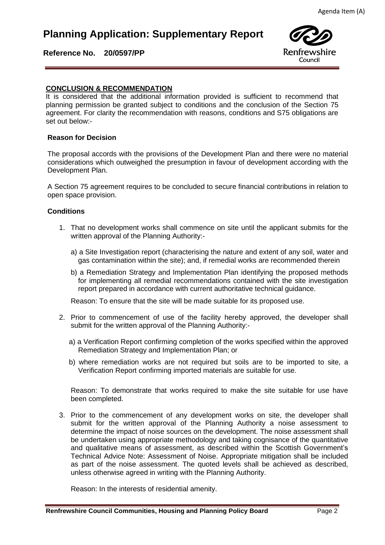## **Planning Application: Supplementary Report**



**Reference No. 20/0597/PP** 

# **CONCLUSION & RECOMMENDATION**

It is considered that the additional information provided is sufficient to recommend that planning permission be granted subject to conditions and the conclusion of the Section 75 agreement. For clarity the recommendation with reasons, conditions and S75 obligations are set out below:-

#### **Reason for Decision**

The proposal accords with the provisions of the Development Plan and there were no material considerations which outweighed the presumption in favour of development according with the Development Plan.

A Section 75 agreement requires to be concluded to secure financial contributions in relation to open space provision.

#### **Conditions**

- 1. That no development works shall commence on site until the applicant submits for the written approval of the Planning Authority:
	- a) a Site Investigation report (characterising the nature and extent of any soil, water and gas contamination within the site); and, if remedial works are recommended therein
	- b) a Remediation Strategy and Implementation Plan identifying the proposed methods for implementing all remedial recommendations contained with the site investigation report prepared in accordance with current authoritative technical guidance.

Reason: To ensure that the site will be made suitable for its proposed use.

- 2. Prior to commencement of use of the facility hereby approved, the developer shall submit for the written approval of the Planning Authority:
	- a) a Verification Report confirming completion of the works specified within the approved Remediation Strategy and Implementation Plan; or
	- b) where remediation works are not required but soils are to be imported to site, a Verification Report confirming imported materials are suitable for use.

Reason: To demonstrate that works required to make the site suitable for use have been completed.

3. Prior to the commencement of any development works on site, the developer shall submit for the written approval of the Planning Authority a noise assessment to determine the impact of noise sources on the development. The noise assessment shall be undertaken using appropriate methodology and taking cognisance of the quantitative and qualitative means of assessment, as described within the Scottish Government's Technical Advice Note: Assessment of Noise. Appropriate mitigation shall be included as part of the noise assessment. The quoted levels shall be achieved as described, unless otherwise agreed in writing with the Planning Authority.

Reason: In the interests of residential amenity.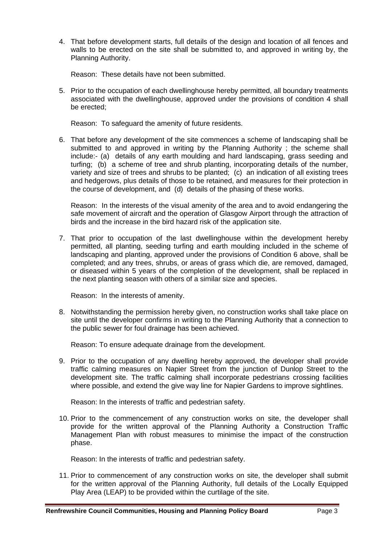4. That before development starts, full details of the design and location of all fences and walls to be erected on the site shall be submitted to, and approved in writing by, the Planning Authority.

Reason: These details have not been submitted.

5. Prior to the occupation of each dwellinghouse hereby permitted, all boundary treatments associated with the dwellinghouse, approved under the provisions of condition 4 shall be erected;

Reason: To safeguard the amenity of future residents.

6. That before any development of the site commences a scheme of landscaping shall be submitted to and approved in writing by the Planning Authority ; the scheme shall include:- (a) details of any earth moulding and hard landscaping, grass seeding and turfing; (b) a scheme of tree and shrub planting, incorporating details of the number, variety and size of trees and shrubs to be planted; (c) an indication of all existing trees and hedgerows, plus details of those to be retained, and measures for their protection in the course of development, and (d) details of the phasing of these works.

Reason: In the interests of the visual amenity of the area and to avoid endangering the safe movement of aircraft and the operation of Glasgow Airport through the attraction of birds and the increase in the bird hazard risk of the application site.

7. That prior to occupation of the last dwellinghouse within the development hereby permitted, all planting, seeding turfing and earth moulding included in the scheme of landscaping and planting, approved under the provisions of Condition 6 above, shall be completed; and any trees, shrubs, or areas of grass which die, are removed, damaged, or diseased within 5 years of the completion of the development, shall be replaced in the next planting season with others of a similar size and species.

Reason: In the interests of amenity.

8. Notwithstanding the permission hereby given, no construction works shall take place on site until the developer confirms in writing to the Planning Authority that a connection to the public sewer for foul drainage has been achieved.

Reason: To ensure adequate drainage from the development.

9. Prior to the occupation of any dwelling hereby approved, the developer shall provide traffic calming measures on Napier Street from the junction of Dunlop Street to the development site. The traffic calming shall incorporate pedestrians crossing facilities where possible, and extend the give way line for Napier Gardens to improve sightlines.

Reason: In the interests of traffic and pedestrian safety.

10. Prior to the commencement of any construction works on site, the developer shall provide for the written approval of the Planning Authority a Construction Traffic Management Plan with robust measures to minimise the impact of the construction phase.

Reason: In the interests of traffic and pedestrian safety.

11. Prior to commencement of any construction works on site, the developer shall submit for the written approval of the Planning Authority, full details of the Locally Equipped Play Area (LEAP) to be provided within the curtilage of the site.